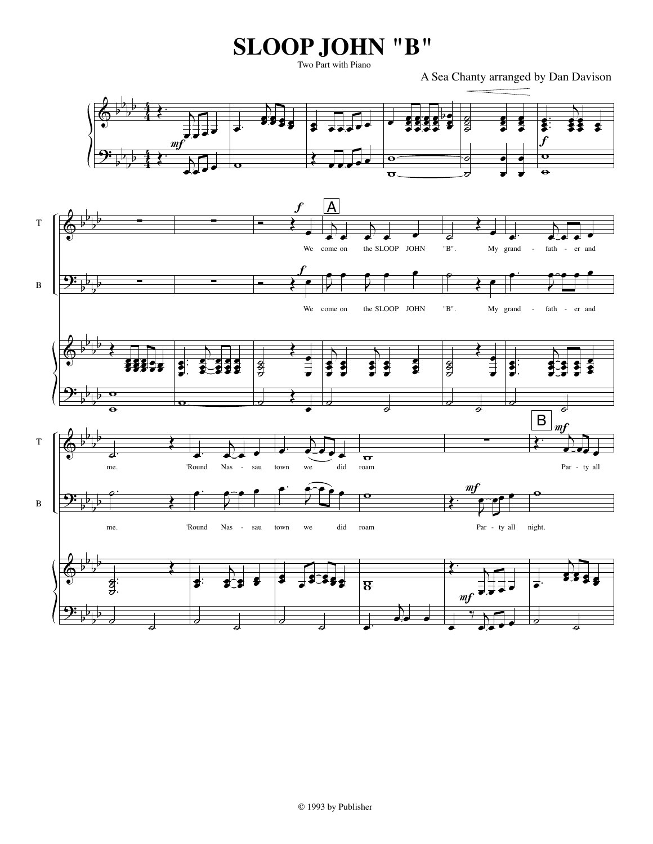## **SLOOP JOHN "B"**

Two Part with Piano

A Sea Chanty arranged by Dan Davison

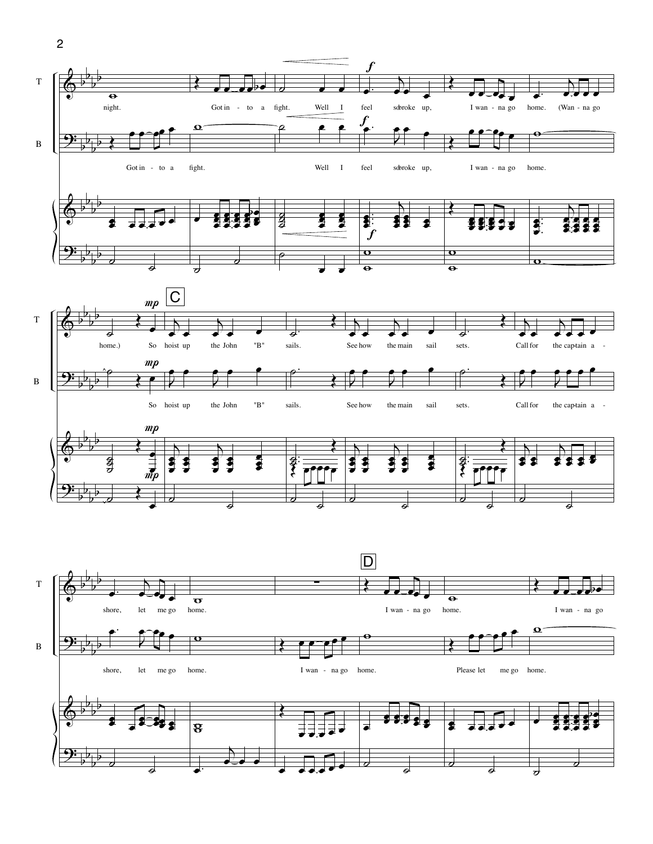

2

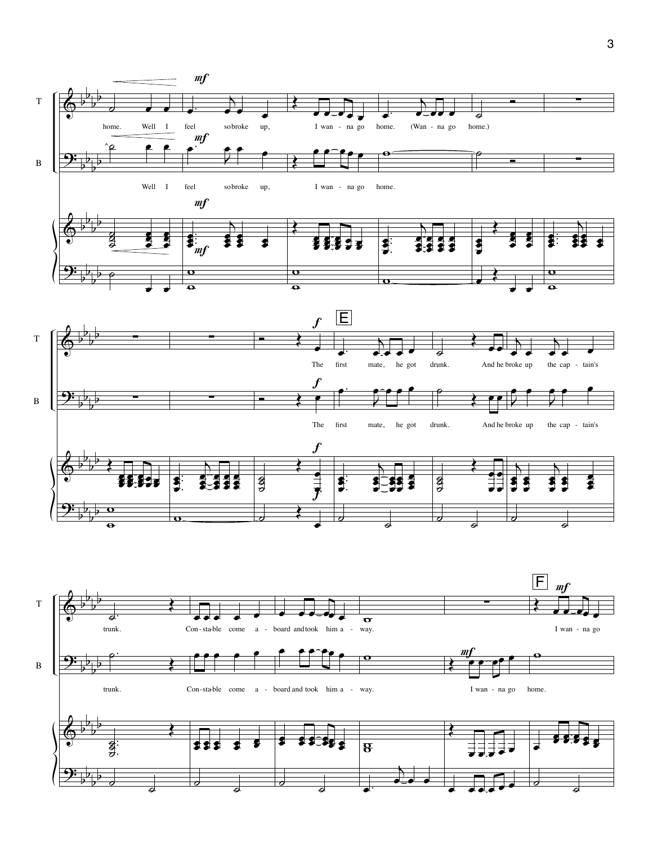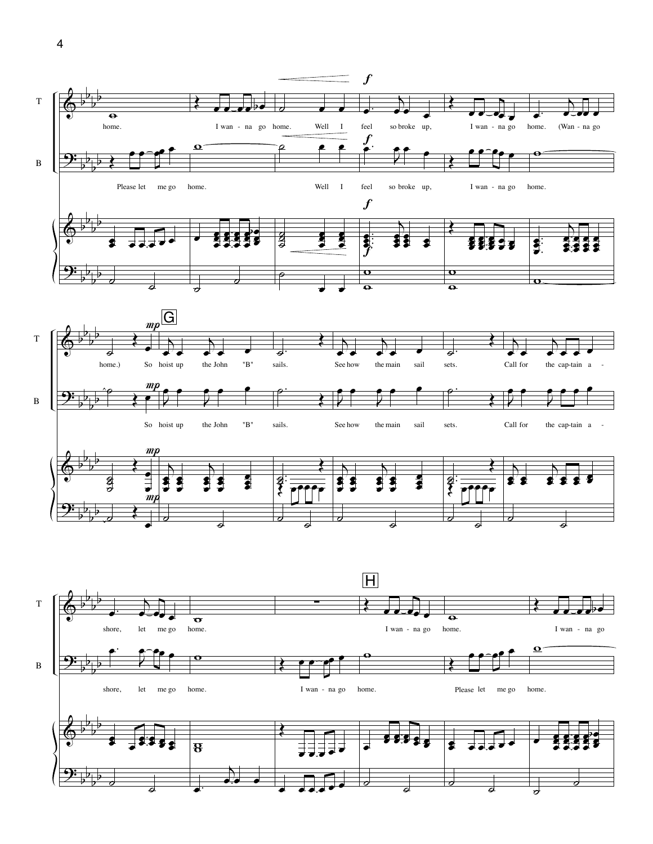

4



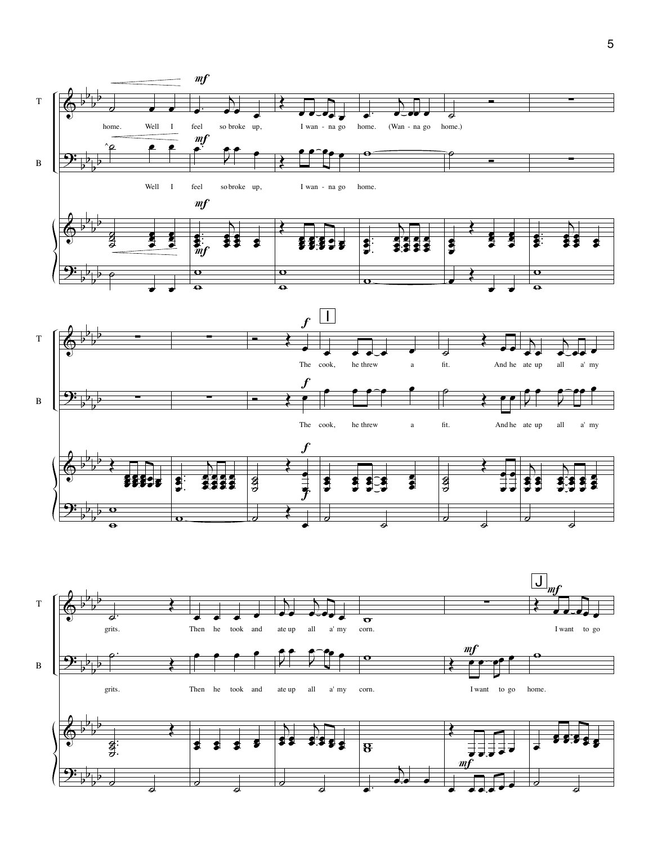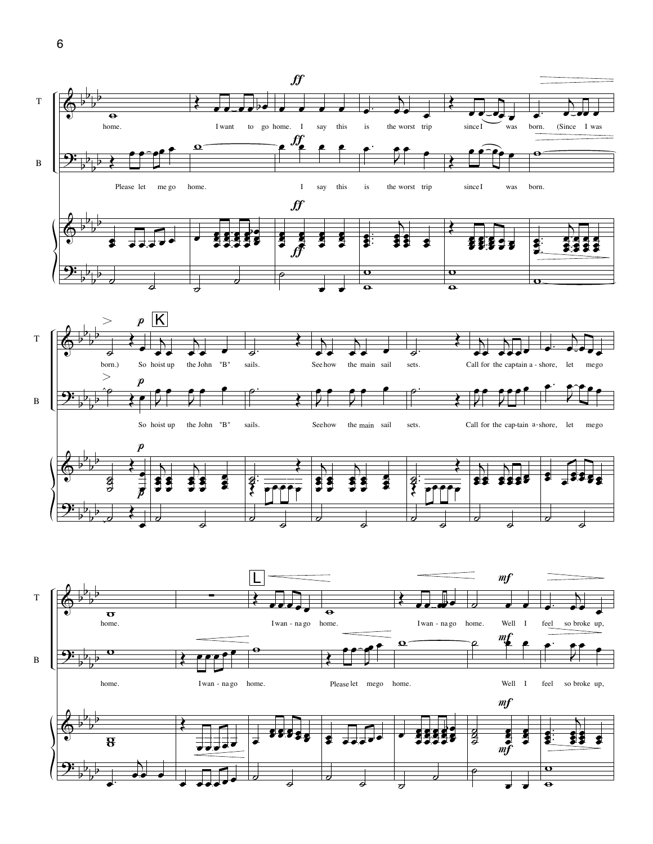





 $\, {\bf B}$